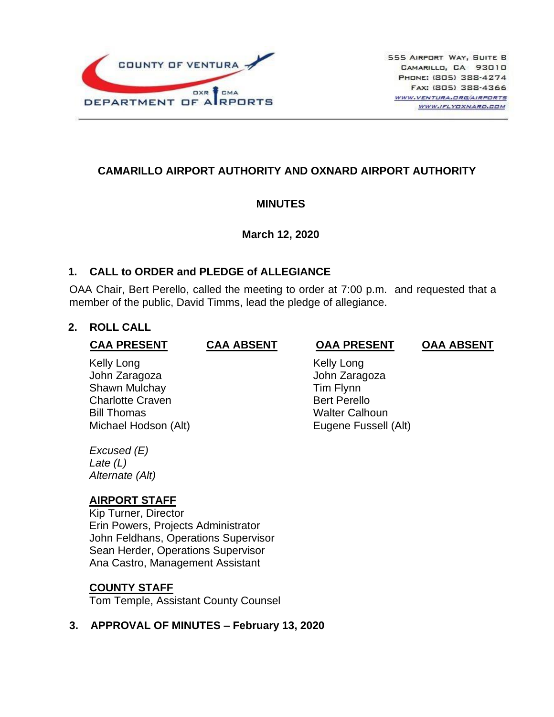

# **CAMARILLO AIRPORT AUTHORITY AND OXNARD AIRPORT AUTHORITY**

### **MINUTES**

### **March 12, 2020**

### **1. CALL to ORDER and PLEDGE of ALLEGIANCE**

OAA Chair, Bert Perello, called the meeting to order at 7:00 p.m. and requested that a member of the public, David Timms, lead the pledge of allegiance.

### **2. ROLL CALL**

#### **CAA PRESENT CAA ABSENT OAA PRESENT OAA ABSENT**

Kelly Long **Kelly Long** John Zaragoza John Zaragoza Shawn Mulchay **Tim Flynn** Charlotte Craven **Bert Perello** Bill Thomas **Walter Calhoun** 

Michael Hodson (Alt) Eugene Fussell (Alt)

*Excused (E) Late (L) Alternate (Alt)*

# **AIRPORT STAFF**

Kip Turner, Director Erin Powers, Projects Administrator John Feldhans, Operations Supervisor Sean Herder, Operations Supervisor Ana Castro, Management Assistant

### **COUNTY STAFF**

Tom Temple, Assistant County Counsel

# **3. APPROVAL OF MINUTES – February 13, 2020**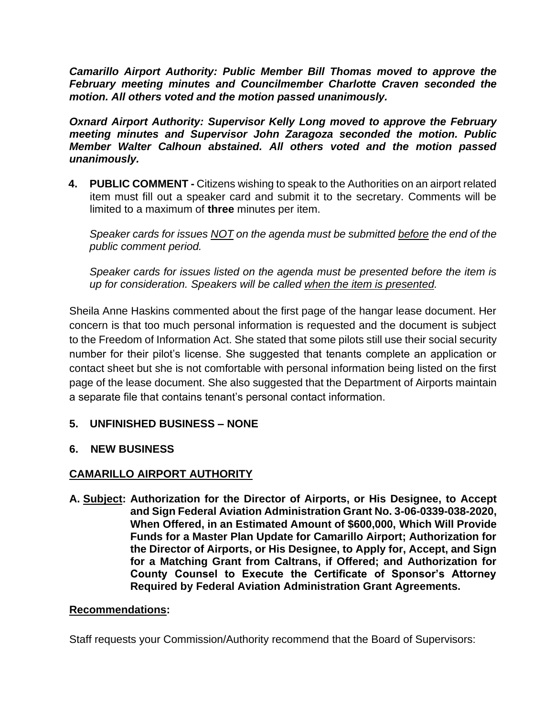*Camarillo Airport Authority: Public Member Bill Thomas moved to approve the February meeting minutes and Councilmember Charlotte Craven seconded the motion. All others voted and the motion passed unanimously.*

*Oxnard Airport Authority: Supervisor Kelly Long moved to approve the February meeting minutes and Supervisor John Zaragoza seconded the motion. Public Member Walter Calhoun abstained. All others voted and the motion passed unanimously.*

**4. PUBLIC COMMENT -** Citizens wishing to speak to the Authorities on an airport related item must fill out a speaker card and submit it to the secretary. Comments will be limited to a maximum of **three** minutes per item.

*Speaker cards for issues NOT on the agenda must be submitted before the end of the public comment period.* 

*Speaker cards for issues listed on the agenda must be presented before the item is up for consideration. Speakers will be called when the item is presented.*

Sheila Anne Haskins commented about the first page of the hangar lease document. Her concern is that too much personal information is requested and the document is subject to the Freedom of Information Act. She stated that some pilots still use their social security number for their pilot's license. She suggested that tenants complete an application or contact sheet but she is not comfortable with personal information being listed on the first page of the lease document. She also suggested that the Department of Airports maintain a separate file that contains tenant's personal contact information.

# **5. UNFINISHED BUSINESS – NONE**

# **6. NEW BUSINESS**

# **CAMARILLO AIRPORT AUTHORITY**

**A. Subject: Authorization for the Director of Airports, or His Designee, to Accept and Sign Federal Aviation Administration Grant No. 3-06-0339-038-2020, When Offered, in an Estimated Amount of \$600,000, Which Will Provide Funds for a Master Plan Update for Camarillo Airport; Authorization for the Director of Airports, or His Designee, to Apply for, Accept, and Sign for a Matching Grant from Caltrans, if Offered; and Authorization for County Counsel to Execute the Certificate of Sponsor's Attorney Required by Federal Aviation Administration Grant Agreements.**

### **Recommendations:**

Staff requests your Commission/Authority recommend that the Board of Supervisors: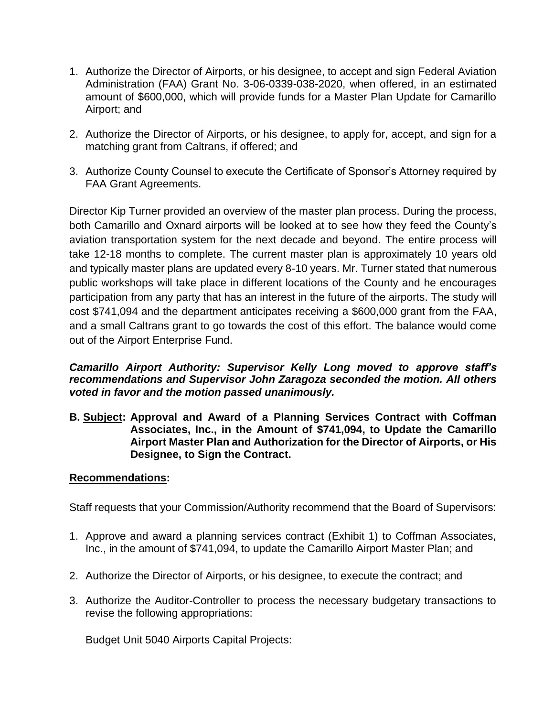- 1. Authorize the Director of Airports, or his designee, to accept and sign Federal Aviation Administration (FAA) Grant No. 3-06-0339-038-2020, when offered, in an estimated amount of \$600,000, which will provide funds for a Master Plan Update for Camarillo Airport; and
- 2. Authorize the Director of Airports, or his designee, to apply for, accept, and sign for a matching grant from Caltrans, if offered; and
- 3. Authorize County Counsel to execute the Certificate of Sponsor's Attorney required by FAA Grant Agreements.

Director Kip Turner provided an overview of the master plan process. During the process, both Camarillo and Oxnard airports will be looked at to see how they feed the County's aviation transportation system for the next decade and beyond. The entire process will take 12-18 months to complete. The current master plan is approximately 10 years old and typically master plans are updated every 8-10 years. Mr. Turner stated that numerous public workshops will take place in different locations of the County and he encourages participation from any party that has an interest in the future of the airports. The study will cost \$741,094 and the department anticipates receiving a \$600,000 grant from the FAA, and a small Caltrans grant to go towards the cost of this effort. The balance would come out of the Airport Enterprise Fund.

### *Camarillo Airport Authority: Supervisor Kelly Long moved to approve staff's recommendations and Supervisor John Zaragoza seconded the motion. All others voted in favor and the motion passed unanimously.*

**B. Subject: Approval and Award of a Planning Services Contract with Coffman Associates, Inc., in the Amount of \$741,094, to Update the Camarillo Airport Master Plan and Authorization for the Director of Airports, or His Designee, to Sign the Contract.**

### **Recommendations:**

Staff requests that your Commission/Authority recommend that the Board of Supervisors:

- 1. Approve and award a planning services contract (Exhibit 1) to Coffman Associates, Inc., in the amount of \$741,094, to update the Camarillo Airport Master Plan; and
- 2. Authorize the Director of Airports, or his designee, to execute the contract; and
- 3. Authorize the Auditor-Controller to process the necessary budgetary transactions to revise the following appropriations:

Budget Unit 5040 Airports Capital Projects: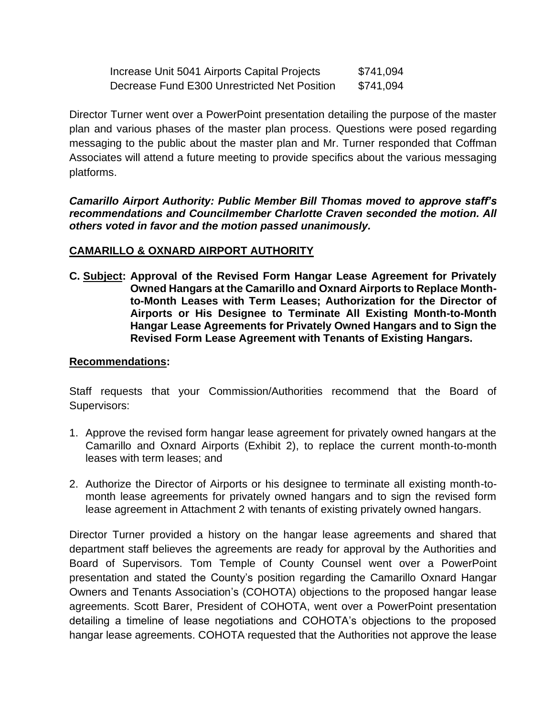| Increase Unit 5041 Airports Capital Projects | \$741,094 |
|----------------------------------------------|-----------|
| Decrease Fund E300 Unrestricted Net Position | \$741,094 |

Director Turner went over a PowerPoint presentation detailing the purpose of the master plan and various phases of the master plan process. Questions were posed regarding messaging to the public about the master plan and Mr. Turner responded that Coffman Associates will attend a future meeting to provide specifics about the various messaging platforms.

*Camarillo Airport Authority: Public Member Bill Thomas moved to approve staff's recommendations and Councilmember Charlotte Craven seconded the motion. All others voted in favor and the motion passed unanimously.*

### **CAMARILLO & OXNARD AIRPORT AUTHORITY**

**C. Subject: Approval of the Revised Form Hangar Lease Agreement for Privately Owned Hangars at the Camarillo and Oxnard Airports to Replace Monthto-Month Leases with Term Leases; Authorization for the Director of Airports or His Designee to Terminate All Existing Month-to-Month Hangar Lease Agreements for Privately Owned Hangars and to Sign the Revised Form Lease Agreement with Tenants of Existing Hangars.**

## **Recommendations:**

Staff requests that your Commission/Authorities recommend that the Board of Supervisors:

- 1. Approve the revised form hangar lease agreement for privately owned hangars at the Camarillo and Oxnard Airports (Exhibit 2), to replace the current month-to-month leases with term leases; and
- 2. Authorize the Director of Airports or his designee to terminate all existing month-tomonth lease agreements for privately owned hangars and to sign the revised form lease agreement in Attachment 2 with tenants of existing privately owned hangars.

Director Turner provided a history on the hangar lease agreements and shared that department staff believes the agreements are ready for approval by the Authorities and Board of Supervisors. Tom Temple of County Counsel went over a PowerPoint presentation and stated the County's position regarding the Camarillo Oxnard Hangar Owners and Tenants Association's (COHOTA) objections to the proposed hangar lease agreements. Scott Barer, President of COHOTA, went over a PowerPoint presentation detailing a timeline of lease negotiations and COHOTA's objections to the proposed hangar lease agreements. COHOTA requested that the Authorities not approve the lease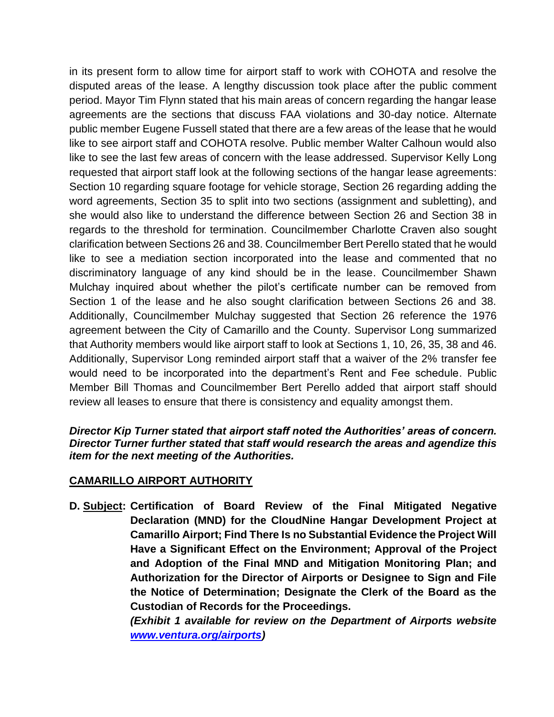in its present form to allow time for airport staff to work with COHOTA and resolve the disputed areas of the lease. A lengthy discussion took place after the public comment period. Mayor Tim Flynn stated that his main areas of concern regarding the hangar lease agreements are the sections that discuss FAA violations and 30-day notice. Alternate public member Eugene Fussell stated that there are a few areas of the lease that he would like to see airport staff and COHOTA resolve. Public member Walter Calhoun would also like to see the last few areas of concern with the lease addressed. Supervisor Kelly Long requested that airport staff look at the following sections of the hangar lease agreements: Section 10 regarding square footage for vehicle storage, Section 26 regarding adding the word agreements, Section 35 to split into two sections (assignment and subletting), and she would also like to understand the difference between Section 26 and Section 38 in regards to the threshold for termination. Councilmember Charlotte Craven also sought clarification between Sections 26 and 38. Councilmember Bert Perello stated that he would like to see a mediation section incorporated into the lease and commented that no discriminatory language of any kind should be in the lease. Councilmember Shawn Mulchay inquired about whether the pilot's certificate number can be removed from Section 1 of the lease and he also sought clarification between Sections 26 and 38. Additionally, Councilmember Mulchay suggested that Section 26 reference the 1976 agreement between the City of Camarillo and the County. Supervisor Long summarized that Authority members would like airport staff to look at Sections 1, 10, 26, 35, 38 and 46. Additionally, Supervisor Long reminded airport staff that a waiver of the 2% transfer fee would need to be incorporated into the department's Rent and Fee schedule. Public Member Bill Thomas and Councilmember Bert Perello added that airport staff should review all leases to ensure that there is consistency and equality amongst them.

*Director Kip Turner stated that airport staff noted the Authorities' areas of concern. Director Turner further stated that staff would research the areas and agendize this item for the next meeting of the Authorities.* 

# **CAMARILLO AIRPORT AUTHORITY**

**D. Subject: Certification of Board Review of the Final Mitigated Negative Declaration (MND) for the CloudNine Hangar Development Project at Camarillo Airport; Find There Is no Substantial Evidence the Project Will Have a Significant Effect on the Environment; Approval of the Project and Adoption of the Final MND and Mitigation Monitoring Plan; and Authorization for the Director of Airports or Designee to Sign and File the Notice of Determination; Designate the Clerk of the Board as the Custodian of Records for the Proceedings.**

> *(Exhibit 1 available for review on the Department of Airports website [www.ventura.org/airports\)](http://www.ventura.org/airports)*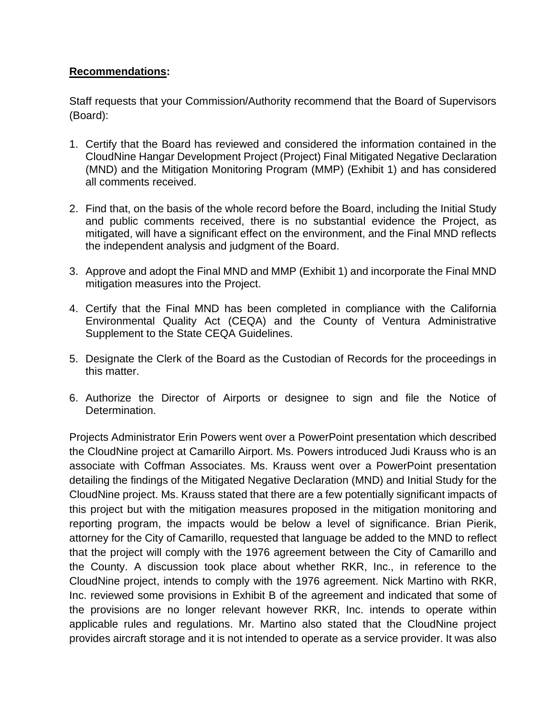## **Recommendations:**

Staff requests that your Commission/Authority recommend that the Board of Supervisors (Board):

- 1. Certify that the Board has reviewed and considered the information contained in the CloudNine Hangar Development Project (Project) Final Mitigated Negative Declaration (MND) and the Mitigation Monitoring Program (MMP) (Exhibit 1) and has considered all comments received.
- 2. Find that, on the basis of the whole record before the Board, including the Initial Study and public comments received, there is no substantial evidence the Project, as mitigated, will have a significant effect on the environment, and the Final MND reflects the independent analysis and judgment of the Board.
- 3. Approve and adopt the Final MND and MMP (Exhibit 1) and incorporate the Final MND mitigation measures into the Project.
- 4. Certify that the Final MND has been completed in compliance with the California Environmental Quality Act (CEQA) and the County of Ventura Administrative Supplement to the State CEQA Guidelines.
- 5. Designate the Clerk of the Board as the Custodian of Records for the proceedings in this matter.
- 6. Authorize the Director of Airports or designee to sign and file the Notice of Determination.

Projects Administrator Erin Powers went over a PowerPoint presentation which described the CloudNine project at Camarillo Airport. Ms. Powers introduced Judi Krauss who is an associate with Coffman Associates. Ms. Krauss went over a PowerPoint presentation detailing the findings of the Mitigated Negative Declaration (MND) and Initial Study for the CloudNine project. Ms. Krauss stated that there are a few potentially significant impacts of this project but with the mitigation measures proposed in the mitigation monitoring and reporting program, the impacts would be below a level of significance. Brian Pierik, attorney for the City of Camarillo, requested that language be added to the MND to reflect that the project will comply with the 1976 agreement between the City of Camarillo and the County. A discussion took place about whether RKR, Inc., in reference to the CloudNine project, intends to comply with the 1976 agreement. Nick Martino with RKR, Inc. reviewed some provisions in Exhibit B of the agreement and indicated that some of the provisions are no longer relevant however RKR, Inc. intends to operate within applicable rules and regulations. Mr. Martino also stated that the CloudNine project provides aircraft storage and it is not intended to operate as a service provider. It was also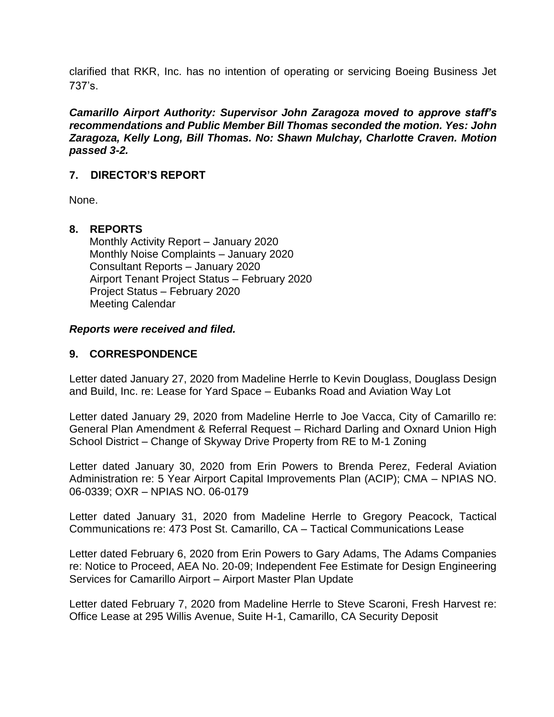clarified that RKR, Inc. has no intention of operating or servicing Boeing Business Jet 737's.

*Camarillo Airport Authority: Supervisor John Zaragoza moved to approve staff's recommendations and Public Member Bill Thomas seconded the motion. Yes: John Zaragoza, Kelly Long, Bill Thomas. No: Shawn Mulchay, Charlotte Craven. Motion passed 3-2.* 

## **7. DIRECTOR'S REPORT**

None.

### **8. REPORTS**

Monthly Activity Report – January 2020 Monthly Noise Complaints – January 2020 Consultant Reports – January 2020 Airport Tenant Project Status – February 2020 Project Status – February 2020 Meeting Calendar

#### *Reports were received and filed.*

### **9. CORRESPONDENCE**

Letter dated January 27, 2020 from Madeline Herrle to Kevin Douglass, Douglass Design and Build, Inc. re: Lease for Yard Space – Eubanks Road and Aviation Way Lot

Letter dated January 29, 2020 from Madeline Herrle to Joe Vacca, City of Camarillo re: General Plan Amendment & Referral Request – Richard Darling and Oxnard Union High School District – Change of Skyway Drive Property from RE to M-1 Zoning

Letter dated January 30, 2020 from Erin Powers to Brenda Perez, Federal Aviation Administration re: 5 Year Airport Capital Improvements Plan (ACIP); CMA – NPIAS NO. 06-0339; OXR – NPIAS NO. 06-0179

Letter dated January 31, 2020 from Madeline Herrle to Gregory Peacock, Tactical Communications re: 473 Post St. Camarillo, CA – Tactical Communications Lease

Letter dated February 6, 2020 from Erin Powers to Gary Adams, The Adams Companies re: Notice to Proceed, AEA No. 20-09; Independent Fee Estimate for Design Engineering Services for Camarillo Airport – Airport Master Plan Update

Letter dated February 7, 2020 from Madeline Herrle to Steve Scaroni, Fresh Harvest re: Office Lease at 295 Willis Avenue, Suite H-1, Camarillo, CA Security Deposit